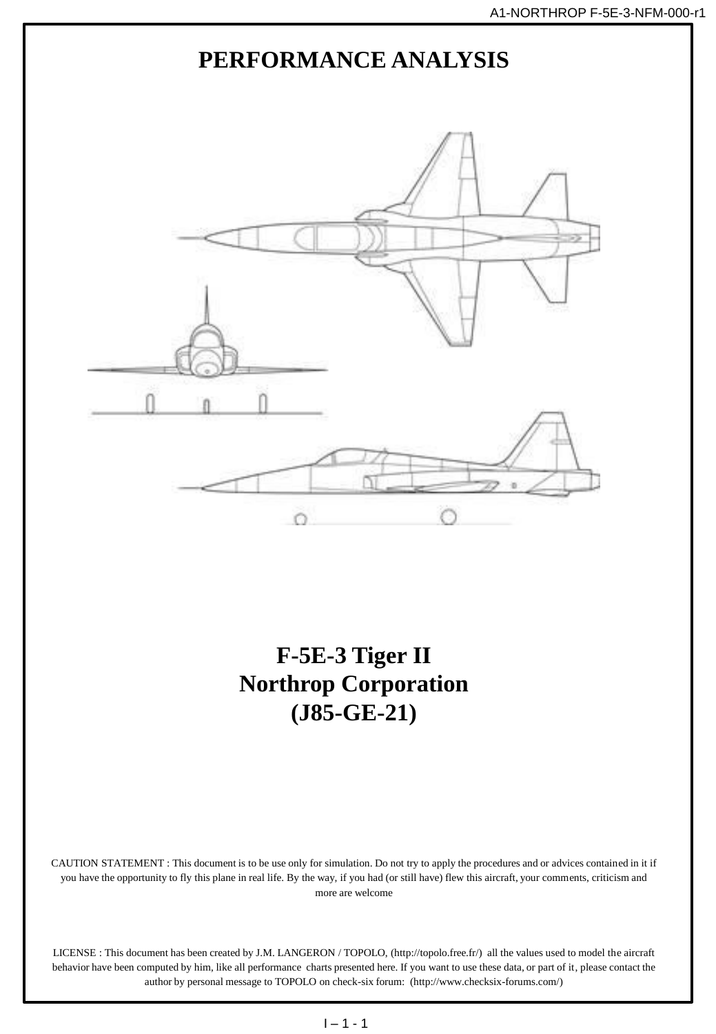

author by personal message to TOPOLO on check-six forum: (http://www.checksix-forums.com/)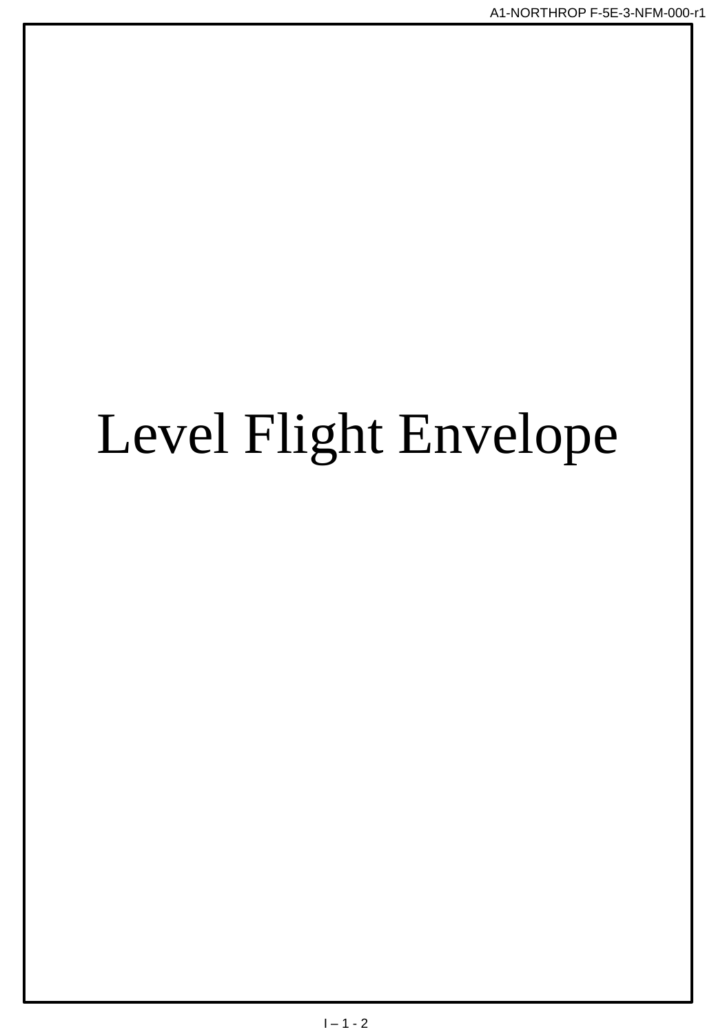## Level Flight Envelope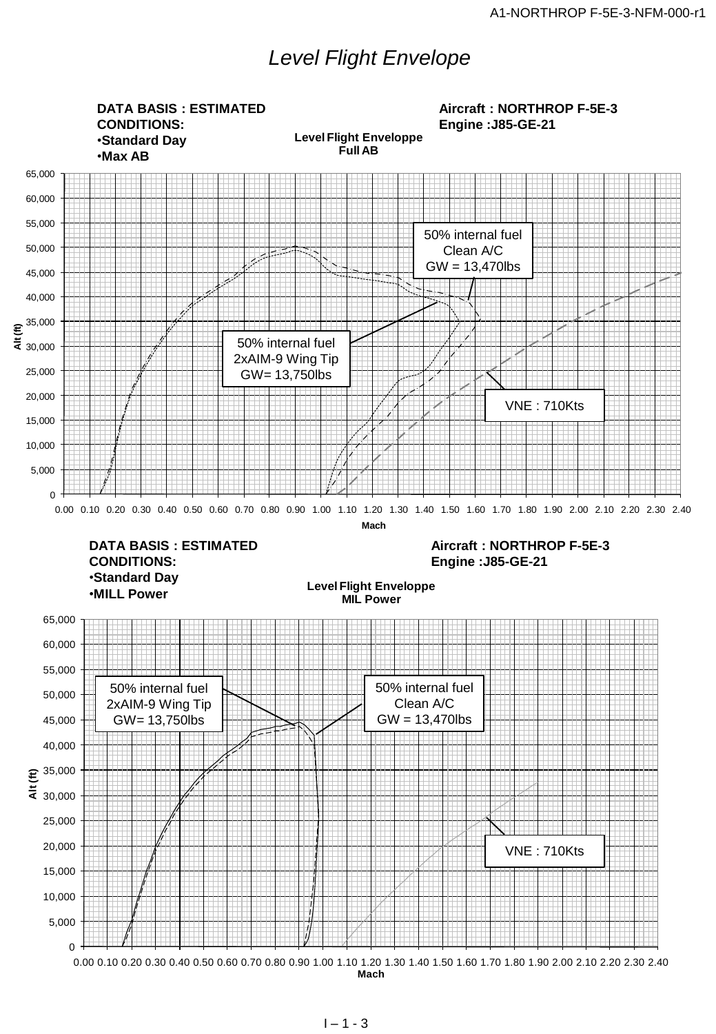## *Level Flight Envelope*

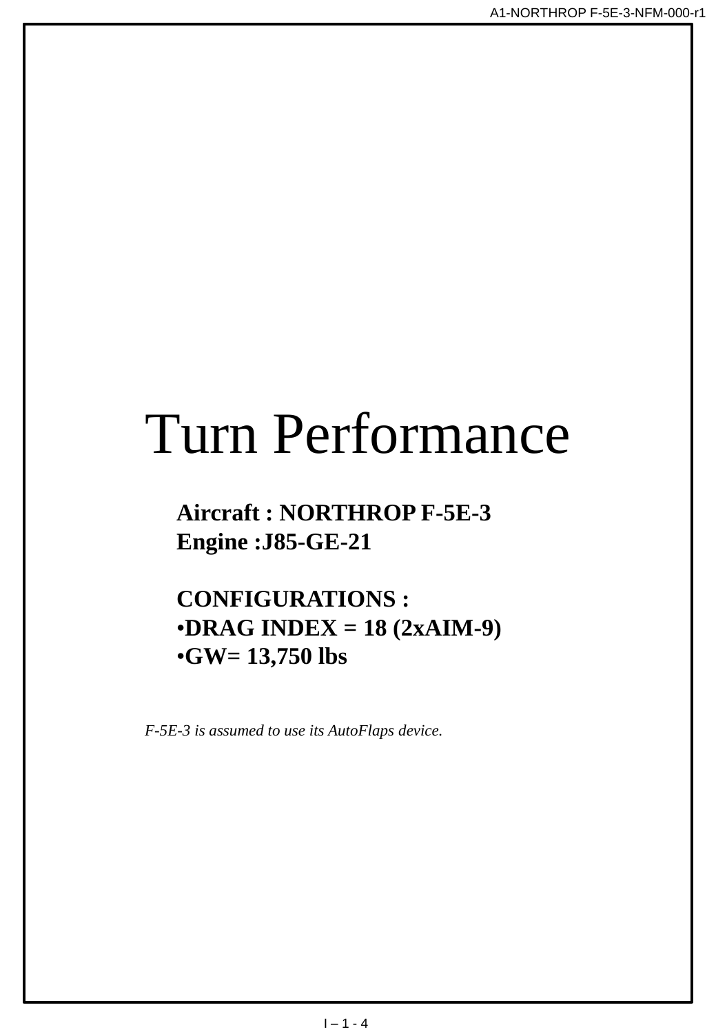## Turn Performance

## **Aircraft : NORTHROP F-5E-3 Engine :J85-GE-21**

**CONFIGURATIONS :** •**DRAG INDEX = 18 (2xAIM-9)** •**GW= 13,750 lbs**

*F-5E-3 is assumed to use its AutoFlaps device.*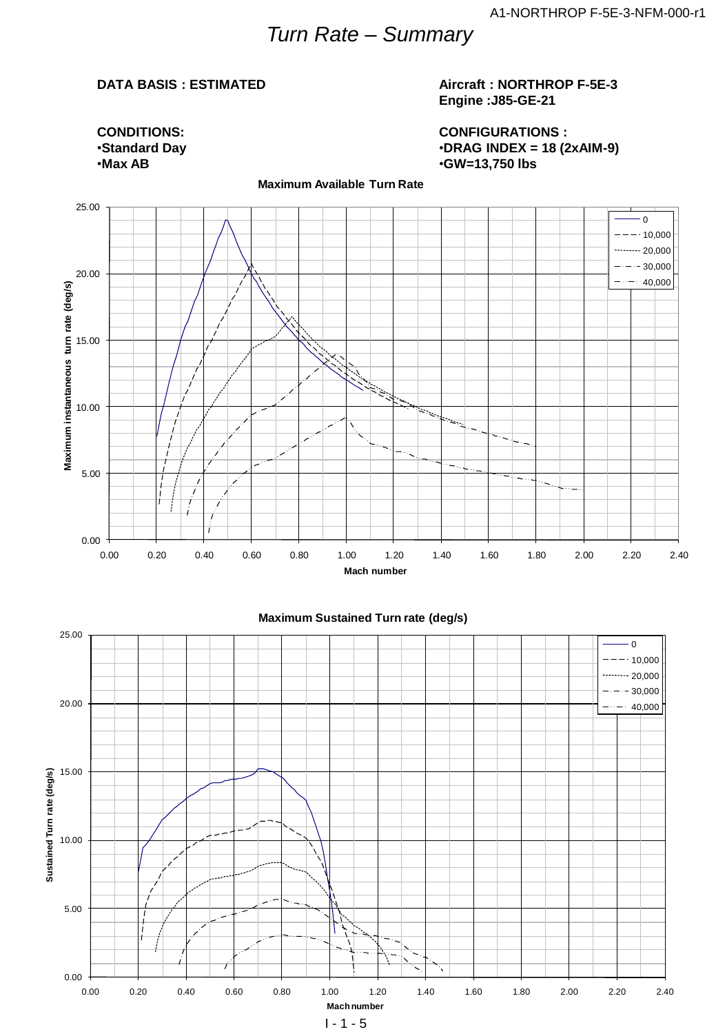## *Turn Rate – Summary*

**Maximum Available Turn Rate**

#### **DATA BASIS : ESTIMATED**

#### **Aircraft : NORTHROP F-5E-3 Engine :J85-GE-21**

**CONFIGURATIONS :** •**DRAG INDEX = 18 (2xAIM-9)** •**GW=13,750 lbs**



0.00 5.00 10.00 15.00 20.00 25.00 0.00 0.20 0.40 0.60 0.80 1.00 1.20 1.40 1.60 1.80 2.00 2.20 2.40<br>
0.00 0.00 0.20 0.40 0.60 0.80 1.00 1.20 1.40 1.60 1.80 2.00 2.20 2.40<br>
0.00 0.00 0.20 0.40 0.60 0.80 1.00 1.20 1.40 1.60 1.80 2.00 2.20 2.40 **Mach number** 0  $-10,000$  $\cdots$  20,000  $-$  30,000  $-\cdots - 40,000$ 

#### **Maximum Sustained Turn rate (deg/s)**

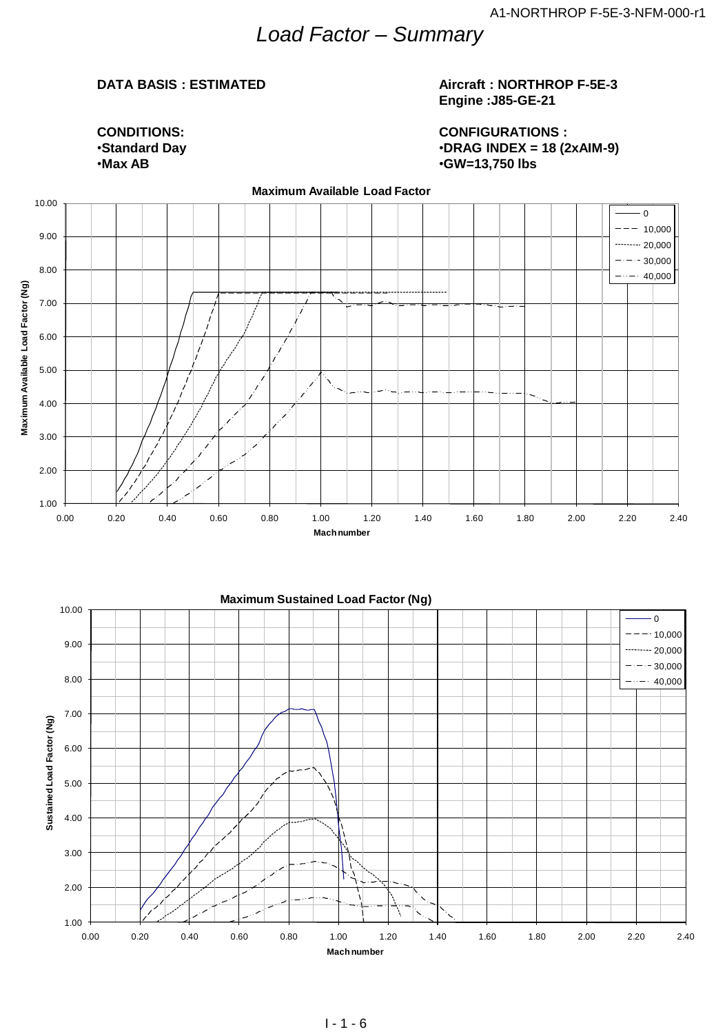## *Load Factor – Summary*

#### **DATA BASIS : ESTIMATED**

#### **Aircraft : NORTHROP F-5E-3 Engine :J85-GE-21**

**CONDITIONS:** •**Standard Day** •**Max AB**

**CONFIGURATIONS :** •**DRAG INDEX = 18 (2xAIM-9)** •**GW=13,750 lbs**



**Mach number**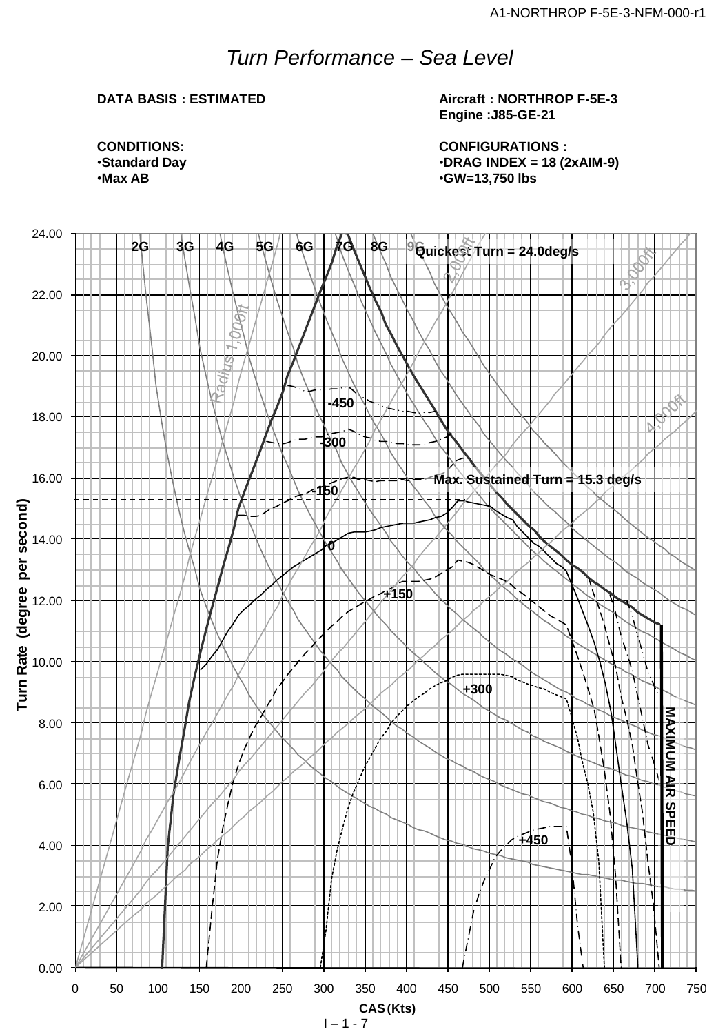## *Turn Performance – Sea Level*

### **DATA BASIS : ESTIMATED**

**Aircraft : NORTHROP F-5E-3 Engine :J85-GE-21**

**CONFIGURATIONS :** •**DRAG INDEX = 18 (2xAIM-9)** •**GW=13,750 lbs**

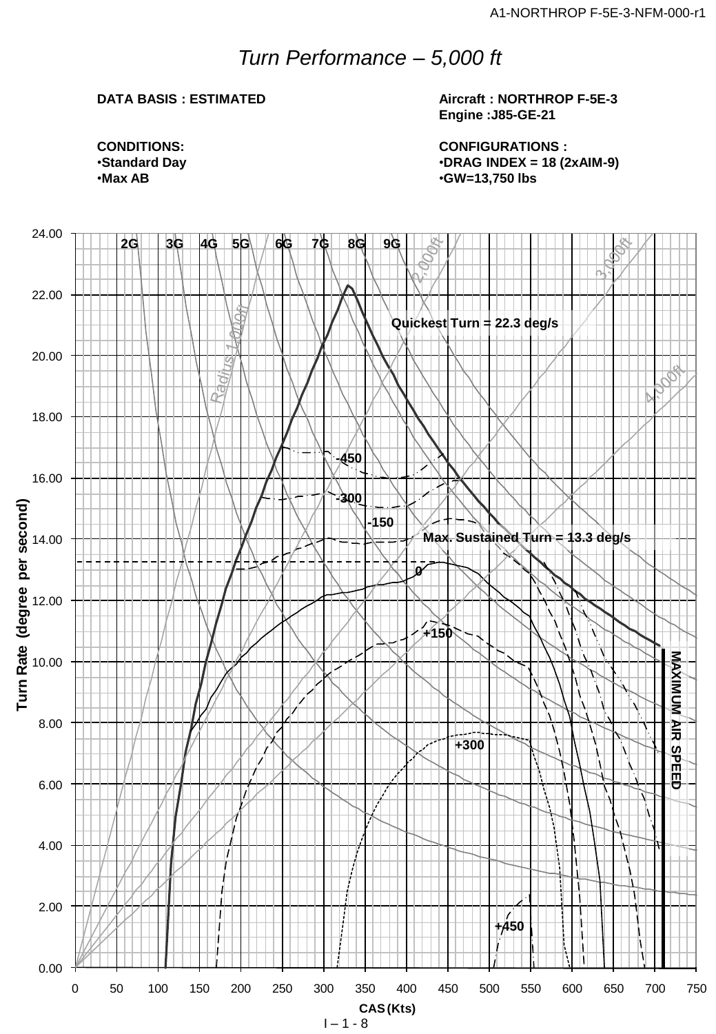## *Turn Performance – 5,000 ft*

#### **DATA BASIS : ESTIMATED**

**Aircraft : NORTHROP F-5E-3 Engine :J85-GE-21**

**CONFIGURATIONS :** •**DRAG INDEX = 18 (2xAIM-9)** •**GW=13,750 lbs**

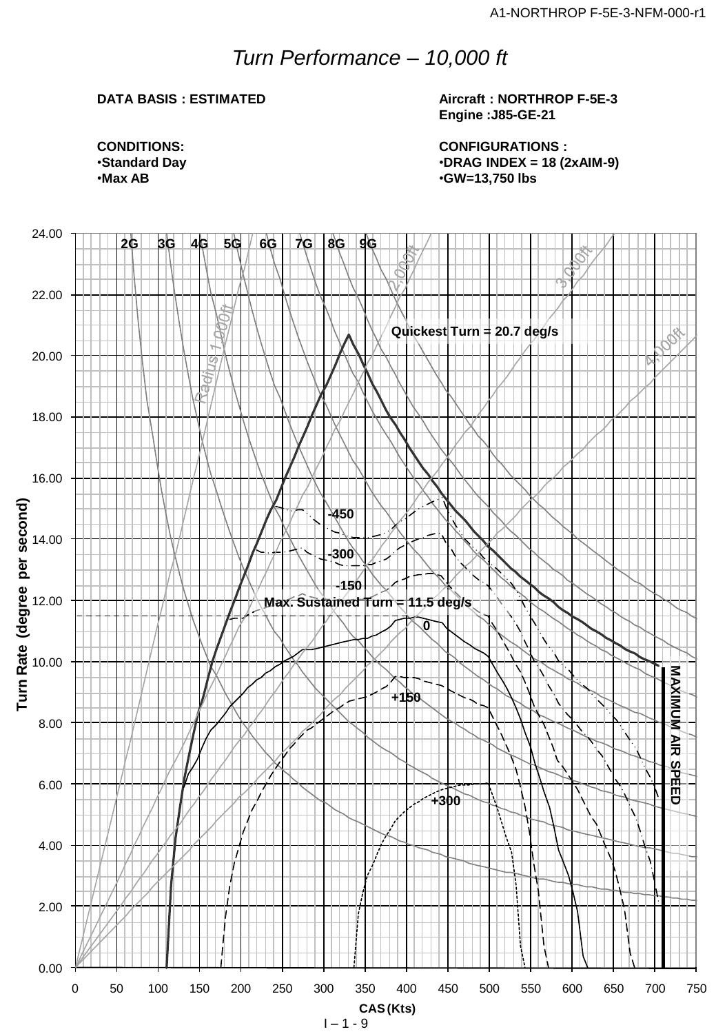## *Turn Performance – 10,000 ft*

### **DATA BASIS : ESTIMATED**

**Aircraft : NORTHROP F-5E-3 Engine :J85-GE-21**

**CONFIGURATIONS :** •**DRAG INDEX = 18 (2xAIM-9)** •**GW=13,750 lbs**

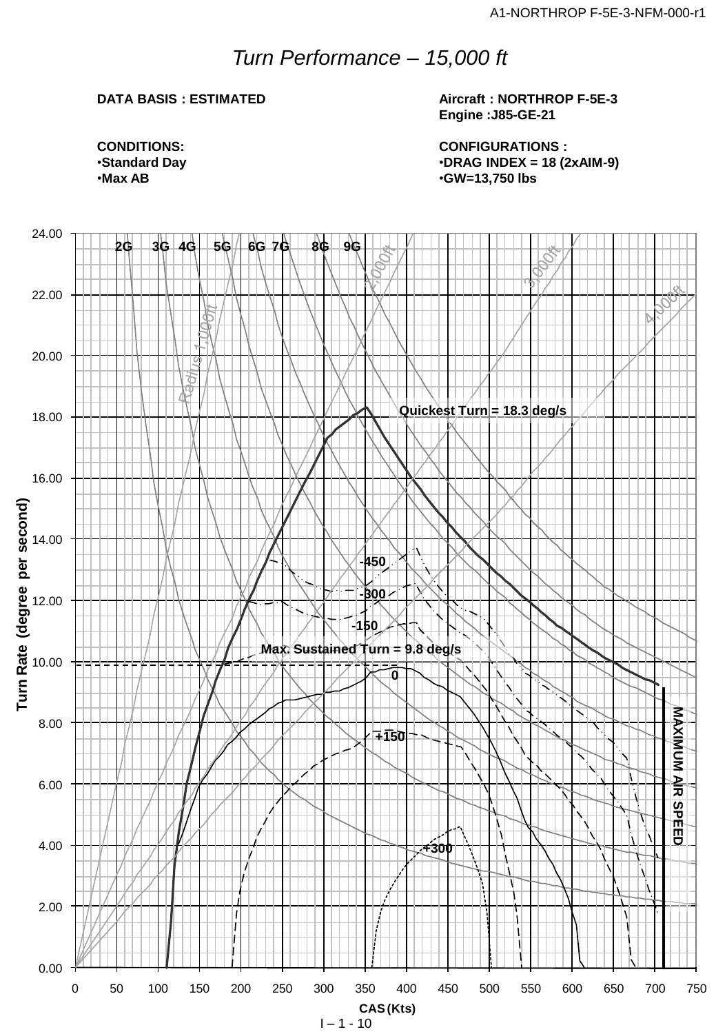## *Turn Performance – 15,000 ft*

#### **DATA BASIS : ESTIMATED**

**Aircraft : NORTHROP F-5E-3 Engine :J85-GE-21**

**CONFIGURATIONS :** •**DRAG INDEX = 18 (2xAIM-9)** •**GW=13,750 lbs**

**CONDITIONS:** •**Standard Day** •**Max AB**



 $I - 1 - 10$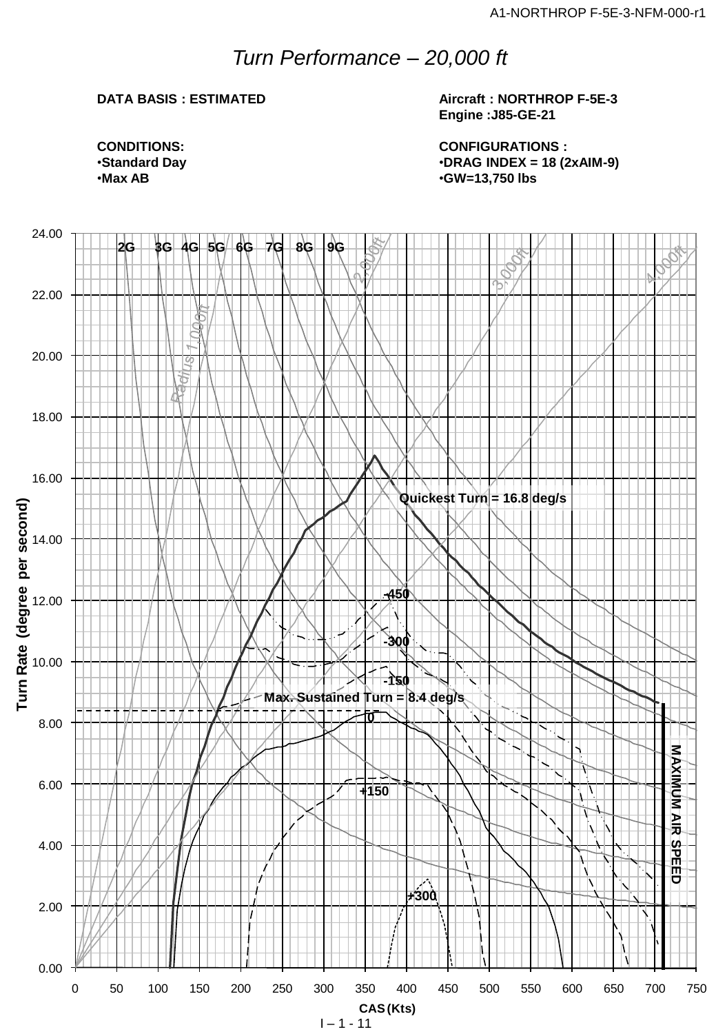## *Turn Performance – 20,000 ft*

### **DATA BASIS : ESTIMATED**

**Aircraft : NORTHROP F-5E-3 Engine :J85-GE-21**

**CONFIGURATIONS :** •**DRAG INDEX = 18 (2xAIM-9)** •**GW=13,750 lbs**

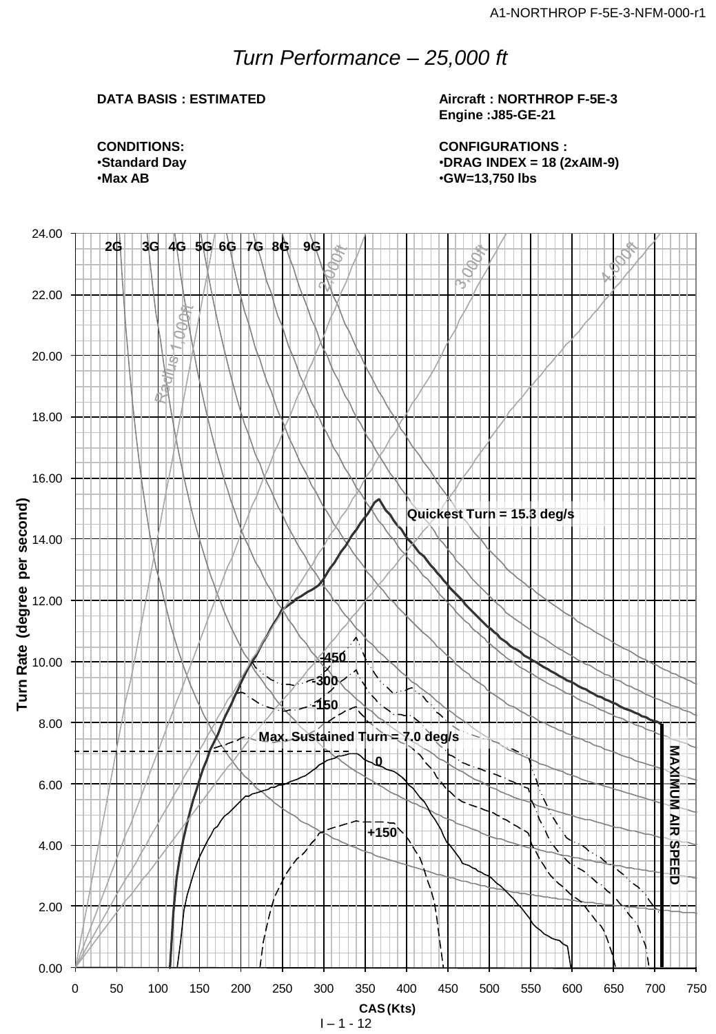## *Turn Performance – 25,000 ft*

### **DATA BASIS : ESTIMATED**

**Aircraft : NORTHROP F-5E-3 Engine :J85-GE-21**

**CONFIGURATIONS :** •**DRAG INDEX = 18 (2xAIM-9)** •**GW=13,750 lbs**

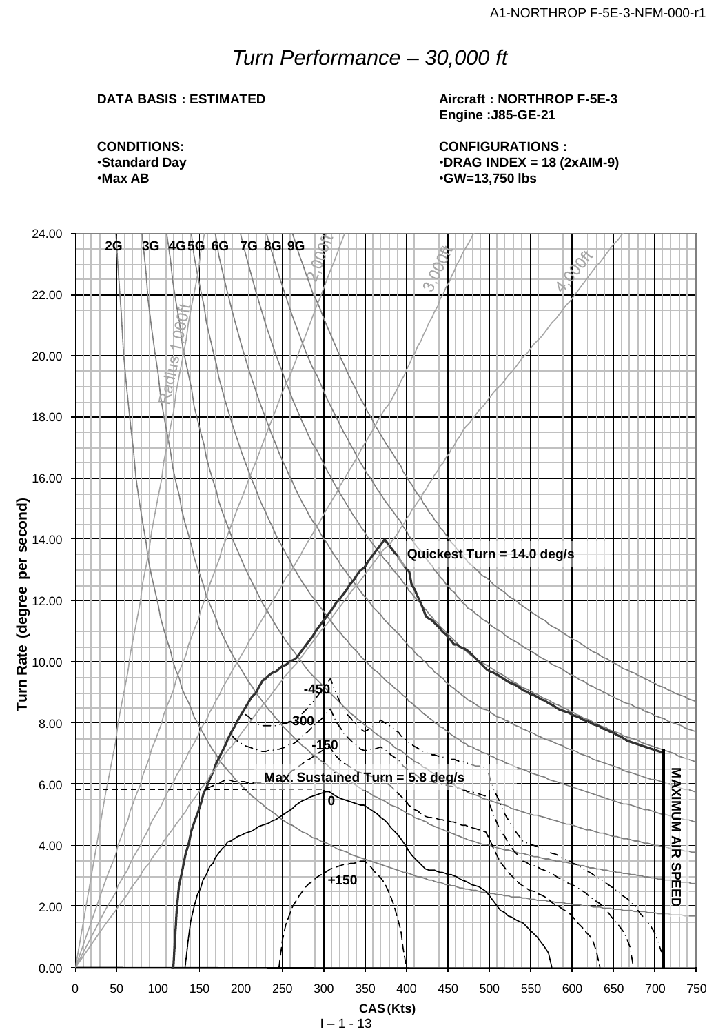## *Turn Performance – 30,000 ft*

### **DATA BASIS : ESTIMATED**

**Aircraft : NORTHROP F-5E-3 Engine :J85-GE-21**

**CONFIGURATIONS :** •**DRAG INDEX = 18 (2xAIM-9)** •**GW=13,750 lbs**

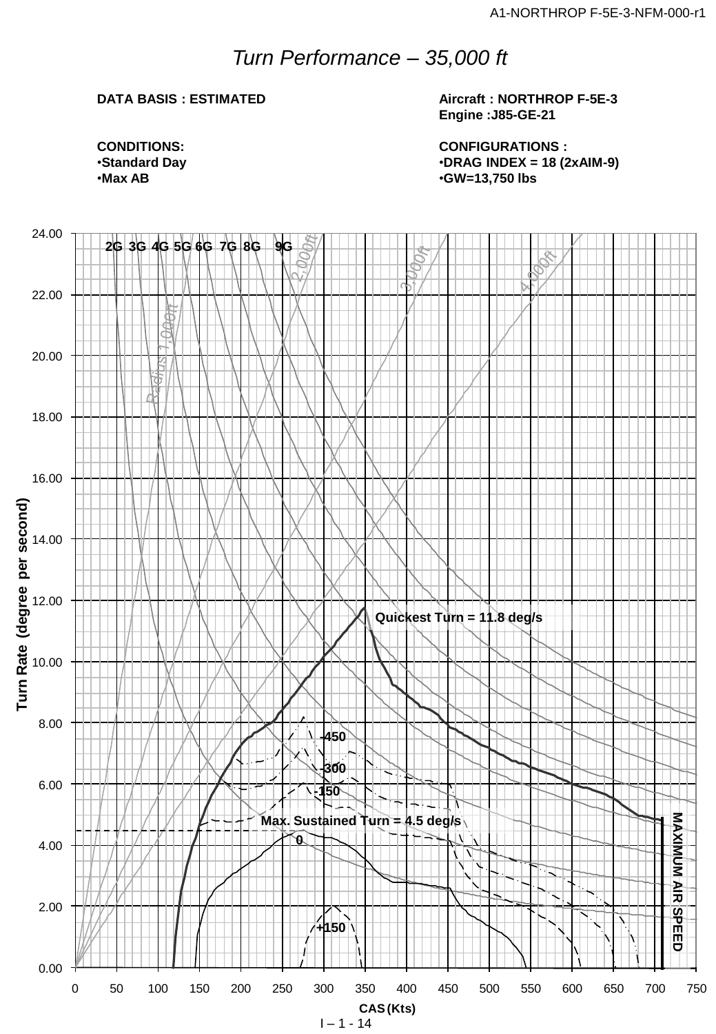## *Turn Performance – 35,000 ft*

### **DATA BASIS : ESTIMATED**

**Aircraft : NORTHROP F-5E-3 Engine :J85-GE-21**

**CONDITIONS:** •**Standard Day** •**Max AB**

**CONFIGURATIONS :** •**DRAG INDEX = 18 (2xAIM-9)** •**GW=13,750 lbs**



 $1 - 1 - 14$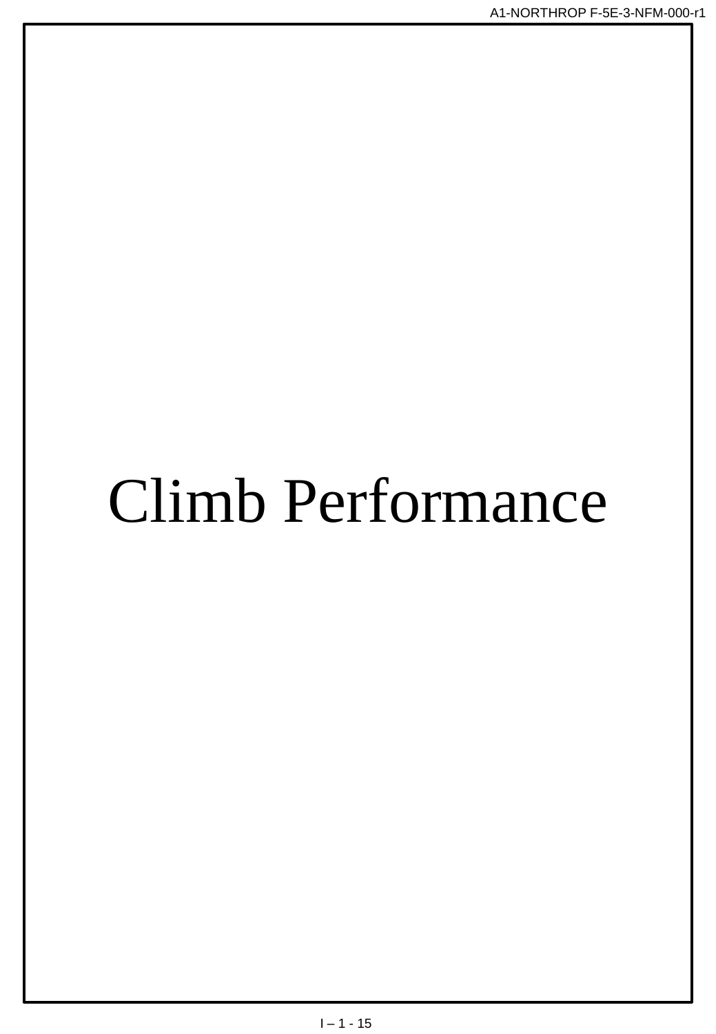# Climb Performance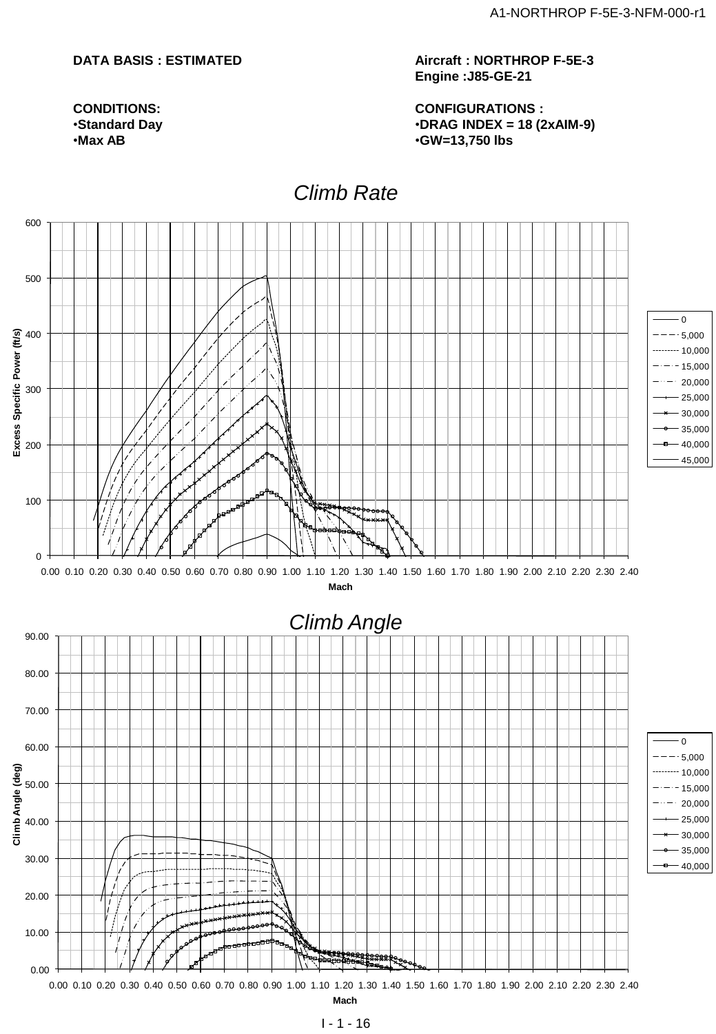#### **DATA BASIS : ESTIMATED**

**CONDITIONS:** •**Standard Day** •**Max AB**

**Aircraft : NORTHROP F-5E-3 Engine :J85-GE-21**

**CONFIGURATIONS :** •**DRAG INDEX = 18 (2xAIM-9)** •**GW=13,750 lbs**

## **Instantaneous Constant Speed Climb Rate** *Climb Rate*

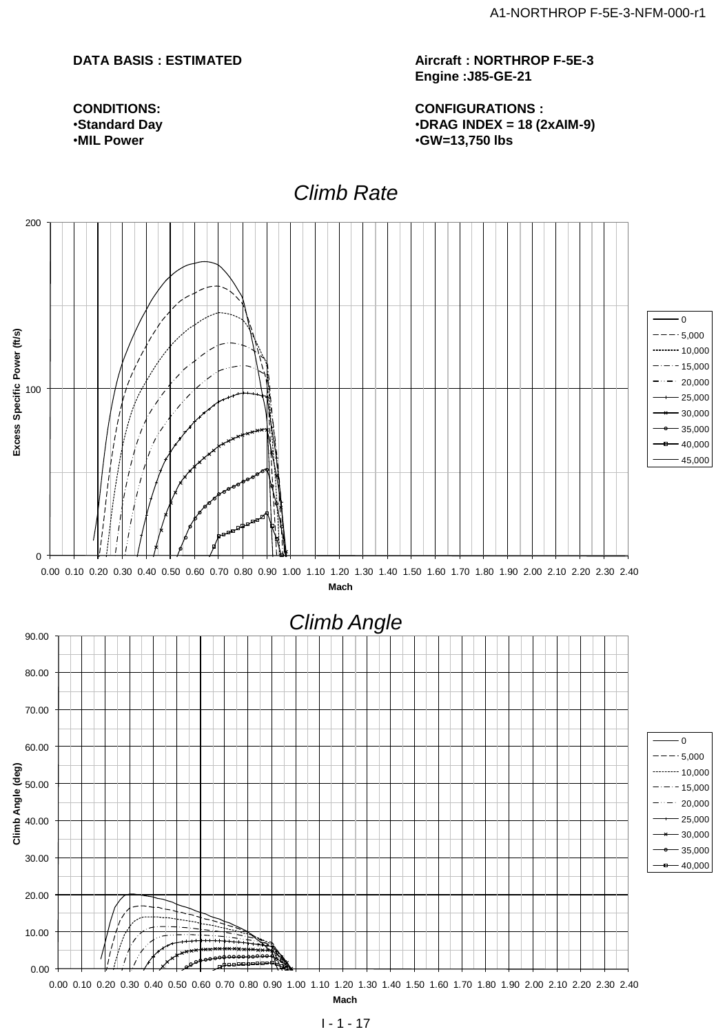#### **DATA BASIS : ESTIMATED**

**CONDITIONS:** •**Standard Day** •**MIL Power**

**Aircraft : NORTHROP F-5E-3 Engine :J85-GE-21**

**CONFIGURATIONS :** •**DRAG INDEX = 18 (2xAIM-9)** •**GW=13,750 lbs**

## **Climb Rate**

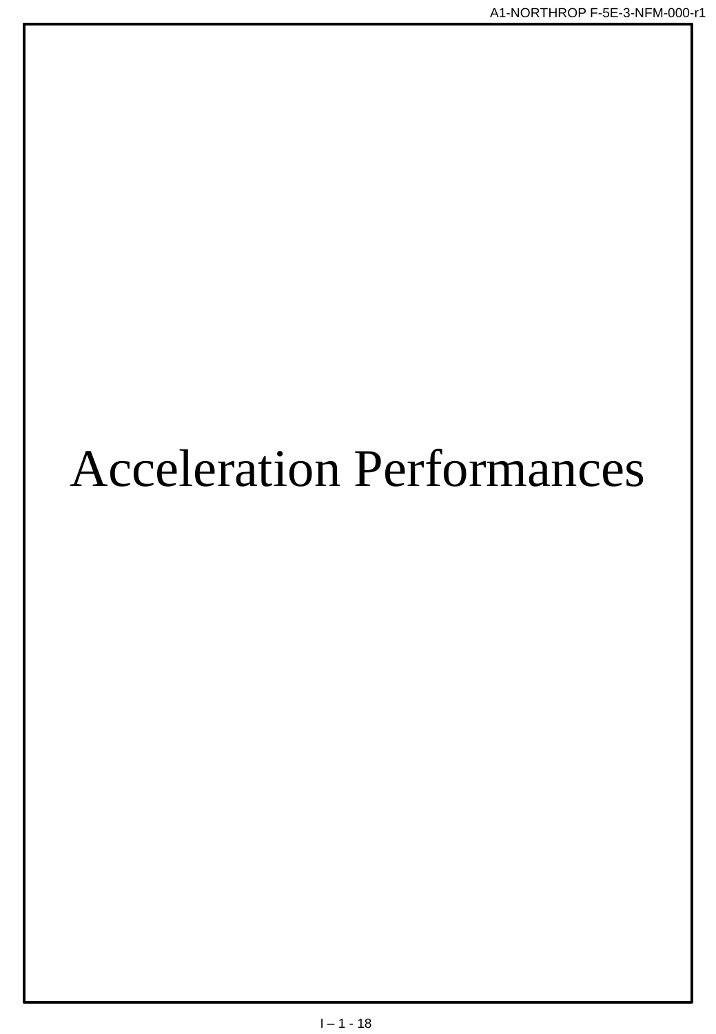## **Acceleration Performances**